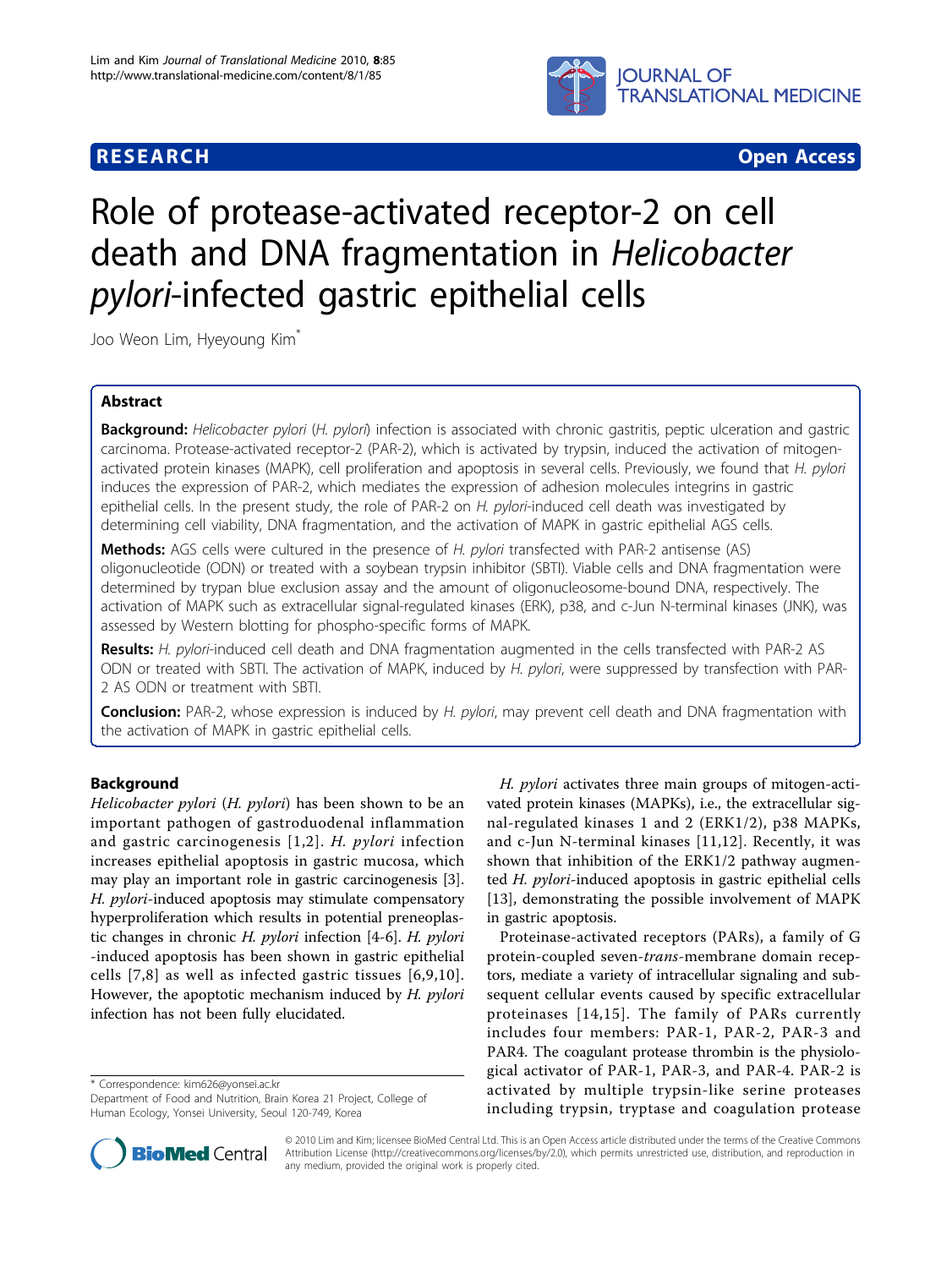## **RESEARCH CONSTRUCTION CONTROL**



# Role of protease-activated receptor-2 on cell death and DNA fragmentation in Helicobacter pylori-infected gastric epithelial cells

Joo Weon Lim, Hyeyoung Kim\*

## Abstract

Background: Helicobacter pylori (H. pylori) infection is associated with chronic gastritis, peptic ulceration and gastric carcinoma. Protease-activated receptor-2 (PAR-2), which is activated by trypsin, induced the activation of mitogenactivated protein kinases (MAPK), cell proliferation and apoptosis in several cells. Previously, we found that H. pylori induces the expression of PAR-2, which mediates the expression of adhesion molecules integrins in gastric epithelial cells. In the present study, the role of PAR-2 on H. pylori-induced cell death was investigated by determining cell viability, DNA fragmentation, and the activation of MAPK in gastric epithelial AGS cells.

Methods: AGS cells were cultured in the presence of H. pylori transfected with PAR-2 antisense (AS) oligonucleotide (ODN) or treated with a soybean trypsin inhibitor (SBTI). Viable cells and DNA fragmentation were determined by trypan blue exclusion assay and the amount of oligonucleosome-bound DNA, respectively. The activation of MAPK such as extracellular signal-regulated kinases (ERK), p38, and c-Jun N-terminal kinases (JNK), was assessed by Western blotting for phospho-specific forms of MAPK.

Results: H. pylori-induced cell death and DNA fragmentation augmented in the cells transfected with PAR-2 AS ODN or treated with SBTI. The activation of MAPK, induced by H. pylori, were suppressed by transfection with PAR-2 AS ODN or treatment with SBTI.

Conclusion: PAR-2, whose expression is induced by H. pylori, may prevent cell death and DNA fragmentation with the activation of MAPK in gastric epithelial cells.

## Background

Helicobacter pylori (H. pylori) has been shown to be an important pathogen of gastroduodenal inflammation and gastric carcinogenesis [[1,2\]](#page-5-0). H. pylori infection increases epithelial apoptosis in gastric mucosa, which may play an important role in gastric carcinogenesis [\[3](#page-5-0)]. H. pylori-induced apoptosis may stimulate compensatory hyperproliferation which results in potential preneoplastic changes in chronic H. pylori infection [[4-6](#page-5-0)]. H. pylori -induced apoptosis has been shown in gastric epithelial cells [\[7,8](#page-5-0)] as well as infected gastric tissues [[6,9,10\]](#page-5-0). However, the apoptotic mechanism induced by H. pylori infection has not been fully elucidated.

\* Correspondence: [kim626@yonsei.ac.kr](mailto:kim626@yonsei.ac.kr)

H. pylori activates three main groups of mitogen-activated protein kinases (MAPKs), i.e., the extracellular signal-regulated kinases 1 and 2 (ERK1/2), p38 MAPKs, and c-Jun N-terminal kinases [[11](#page-5-0),[12\]](#page-5-0). Recently, it was shown that inhibition of the ERK1/2 pathway augmented H. pylori-induced apoptosis in gastric epithelial cells [[13](#page-5-0)], demonstrating the possible involvement of MAPK in gastric apoptosis.

Proteinase-activated receptors (PARs), a family of G protein-coupled seven-trans-membrane domain receptors, mediate a variety of intracellular signaling and subsequent cellular events caused by specific extracellular proteinases [[14](#page-5-0),[15](#page-5-0)]. The family of PARs currently includes four members: PAR-1, PAR-2, PAR-3 and PAR4. The coagulant protease thrombin is the physiological activator of PAR-1, PAR-3, and PAR-4. PAR-2 is activated by multiple trypsin-like serine proteases including trypsin, tryptase and coagulation protease



© 2010 Lim and Kim; licensee BioMed Central Ltd. This is an Open Access article distributed under the terms of the Creative Commons Attribution License [\(http://creativecommons.org/licenses/by/2.0](http://creativecommons.org/licenses/by/2.0)), which permits unrestricted use, distribution, and reproduction in any medium, provided the original work is properly cited.

Department of Food and Nutrition, Brain Korea 21 Project, College of Human Ecology, Yonsei University, Seoul 120-749, Korea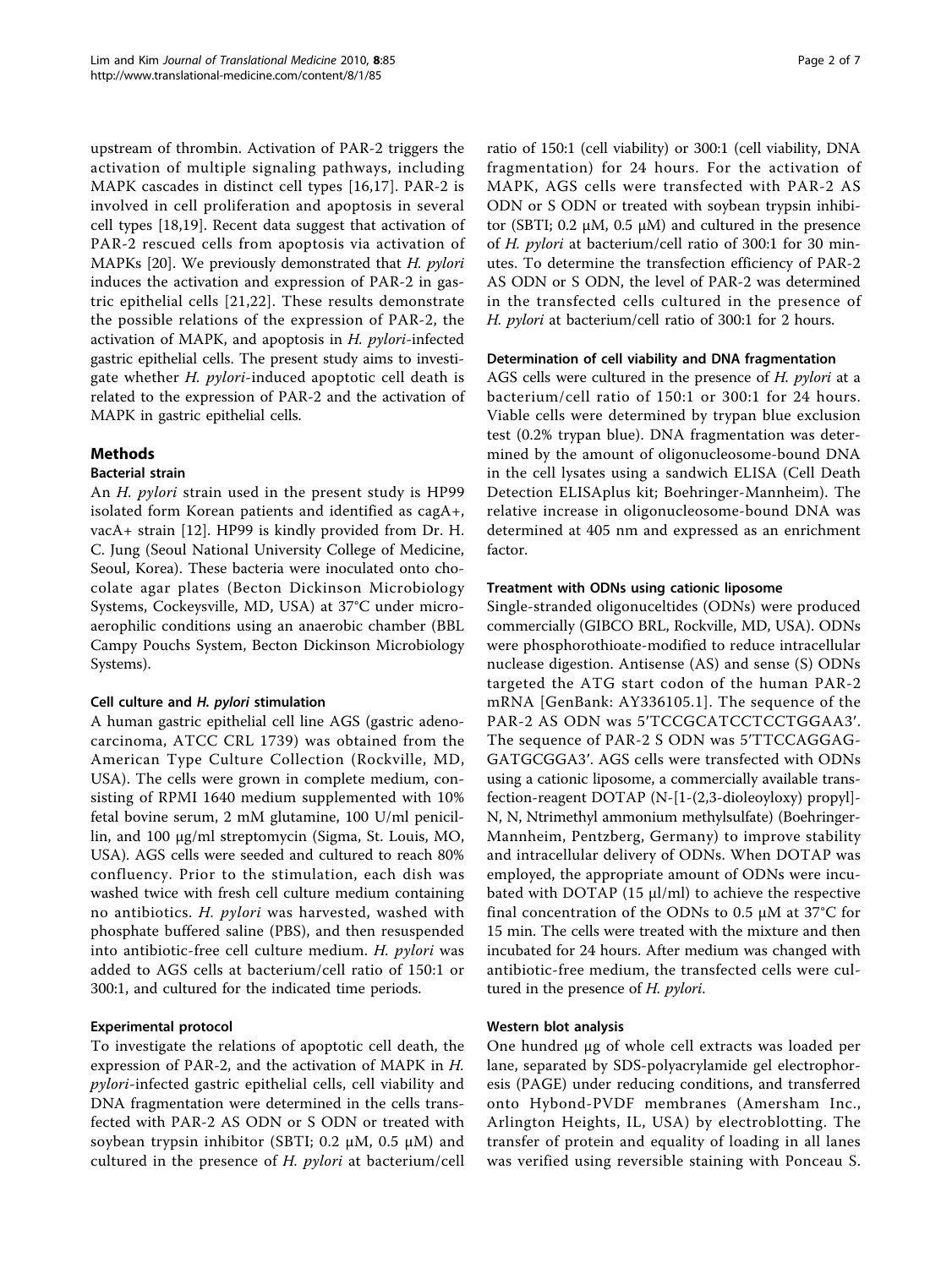upstream of thrombin. Activation of PAR-2 triggers the activation of multiple signaling pathways, including MAPK cascades in distinct cell types [\[16](#page-5-0),[17\]](#page-5-0). PAR-2 is involved in cell proliferation and apoptosis in several cell types [\[18,19](#page-5-0)]. Recent data suggest that activation of PAR-2 rescued cells from apoptosis via activation of MAPKs [[20\]](#page-5-0). We previously demonstrated that H. pylori induces the activation and expression of PAR-2 in gastric epithelial cells [[21](#page-5-0),[22\]](#page-5-0). These results demonstrate the possible relations of the expression of PAR-2, the activation of MAPK, and apoptosis in  $H$ . *pylori*-infected gastric epithelial cells. The present study aims to investigate whether H. pylori-induced apoptotic cell death is related to the expression of PAR-2 and the activation of MAPK in gastric epithelial cells.

## Methods

#### Bacterial strain

An H. pylori strain used in the present study is HP99 isolated form Korean patients and identified as cagA+, vacA+ strain [[12\]](#page-5-0). HP99 is kindly provided from Dr. H. C. Jung (Seoul National University College of Medicine, Seoul, Korea). These bacteria were inoculated onto chocolate agar plates (Becton Dickinson Microbiology Systems, Cockeysville, MD, USA) at 37°C under microaerophilic conditions using an anaerobic chamber (BBL Campy Pouchs System, Becton Dickinson Microbiology Systems).

#### Cell culture and H. pylori stimulation

A human gastric epithelial cell line AGS (gastric adenocarcinoma, ATCC CRL 1739) was obtained from the American Type Culture Collection (Rockville, MD, USA). The cells were grown in complete medium, consisting of RPMI 1640 medium supplemented with 10% fetal bovine serum, 2 mM glutamine, 100 U/ml penicillin, and 100 μg/ml streptomycin (Sigma, St. Louis, MO, USA). AGS cells were seeded and cultured to reach 80% confluency. Prior to the stimulation, each dish was washed twice with fresh cell culture medium containing no antibiotics. H. pylori was harvested, washed with phosphate buffered saline (PBS), and then resuspended into antibiotic-free cell culture medium. H. pylori was added to AGS cells at bacterium/cell ratio of 150:1 or 300:1, and cultured for the indicated time periods.

## Experimental protocol

To investigate the relations of apoptotic cell death, the expression of PAR-2, and the activation of MAPK in H. pylori-infected gastric epithelial cells, cell viability and DNA fragmentation were determined in the cells transfected with PAR-2 AS ODN or S ODN or treated with soybean trypsin inhibitor (SBTI; 0.2 μM, 0.5 μM) and cultured in the presence of  $H$ . *pylori* at bacterium/cell ratio of 150:1 (cell viability) or 300:1 (cell viability, DNA fragmentation) for 24 hours. For the activation of MAPK, AGS cells were transfected with PAR-2 AS ODN or S ODN or treated with soybean trypsin inhibitor (SBTI; 0.2 μM, 0.5 μM) and cultured in the presence of H. pylori at bacterium/cell ratio of 300:1 for 30 minutes. To determine the transfection efficiency of PAR-2 AS ODN or S ODN, the level of PAR-2 was determined in the transfected cells cultured in the presence of H. pylori at bacterium/cell ratio of 300:1 for 2 hours.

#### Determination of cell viability and DNA fragmentation

AGS cells were cultured in the presence of H. pylori at a bacterium/cell ratio of 150:1 or 300:1 for 24 hours. Viable cells were determined by trypan blue exclusion test (0.2% trypan blue). DNA fragmentation was determined by the amount of oligonucleosome-bound DNA in the cell lysates using a sandwich ELISA (Cell Death Detection ELISAplus kit; Boehringer-Mannheim). The relative increase in oligonucleosome-bound DNA was determined at 405 nm and expressed as an enrichment factor.

#### Treatment with ODNs using cationic liposome

Single-stranded oligonuceltides (ODNs) were produced commercially (GIBCO BRL, Rockville, MD, USA). ODNs were phosphorothioate-modified to reduce intracellular nuclease digestion. Antisense (AS) and sense (S) ODNs targeted the ATG start codon of the human PAR-2 mRNA [GenBank: AY336105.1]. The sequence of the PAR-2 AS ODN was 5′TCCGCATCCTCCTGGAA3′. The sequence of PAR-2 S ODN was 5′TTCCAGGAG-GATGCGGA3′. AGS cells were transfected with ODNs using a cationic liposome, a commercially available transfection-reagent DOTAP (N-[1-(2,3-dioleoyloxy) propyl]- N, N, Ntrimethyl ammonium methylsulfate) (Boehringer-Mannheim, Pentzberg, Germany) to improve stability and intracellular delivery of ODNs. When DOTAP was employed, the appropriate amount of ODNs were incubated with DOTAP (15  $\mu$ l/ml) to achieve the respective final concentration of the ODNs to 0.5  $\mu$ M at 37°C for 15 min. The cells were treated with the mixture and then incubated for 24 hours. After medium was changed with antibiotic-free medium, the transfected cells were cultured in the presence of *H. pylori*.

#### Western blot analysis

One hundred μg of whole cell extracts was loaded per lane, separated by SDS-polyacrylamide gel electrophoresis (PAGE) under reducing conditions, and transferred onto Hybond-PVDF membranes (Amersham Inc., Arlington Heights, IL, USA) by electroblotting. The transfer of protein and equality of loading in all lanes was verified using reversible staining with Ponceau S.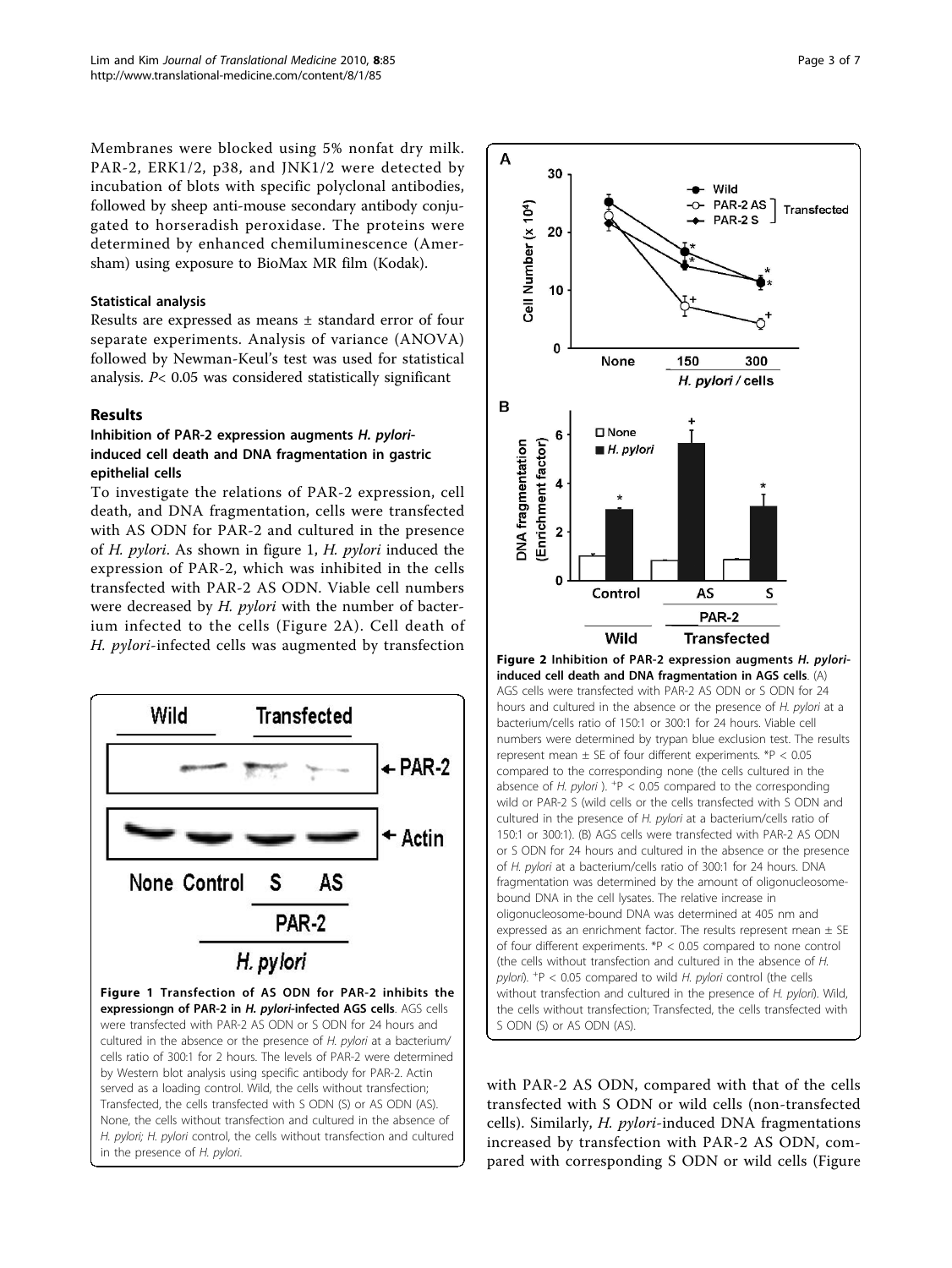<span id="page-2-0"></span>Membranes were blocked using 5% nonfat dry milk. PAR-2, ERK1/2, p38, and JNK1/2 were detected by incubation of blots with specific polyclonal antibodies, followed by sheep anti-mouse secondary antibody conjugated to horseradish peroxidase. The proteins were determined by enhanced chemiluminescence (Amersham) using exposure to BioMax MR film (Kodak).

#### Statistical analysis

Results are expressed as means ± standard error of four separate experiments. Analysis of variance (ANOVA) followed by Newman-Keul's test was used for statistical analysis. P< 0.05 was considered statistically significant

#### Results

## Inhibition of PAR-2 expression augments H. pyloriinduced cell death and DNA fragmentation in gastric epithelial cells

To investigate the relations of PAR-2 expression, cell death, and DNA fragmentation, cells were transfected with AS ODN for PAR-2 and cultured in the presence of H. pylori. As shown in figure 1, H. pylori induced the expression of PAR-2, which was inhibited in the cells transfected with PAR-2 AS ODN. Viable cell numbers were decreased by *H. pylori* with the number of bacterium infected to the cells (Figure 2A). Cell death of H. pylori-infected cells was augmented by transfection



by Western blot analysis using specific antibody for PAR-2. Actin served as a loading control. Wild, the cells without transfection; Transfected, the cells transfected with S ODN (S) or AS ODN (AS). None, the cells without transfection and cultured in the absence of H. pylori; H. pylori control, the cells without transfection and cultured in the presence of H. pylori.



with PAR-2 AS ODN, compared with that of the cells transfected with S ODN or wild cells (non-transfected cells). Similarly, H. pylori-induced DNA fragmentations increased by transfection with PAR-2 AS ODN, compared with corresponding S ODN or wild cells (Figure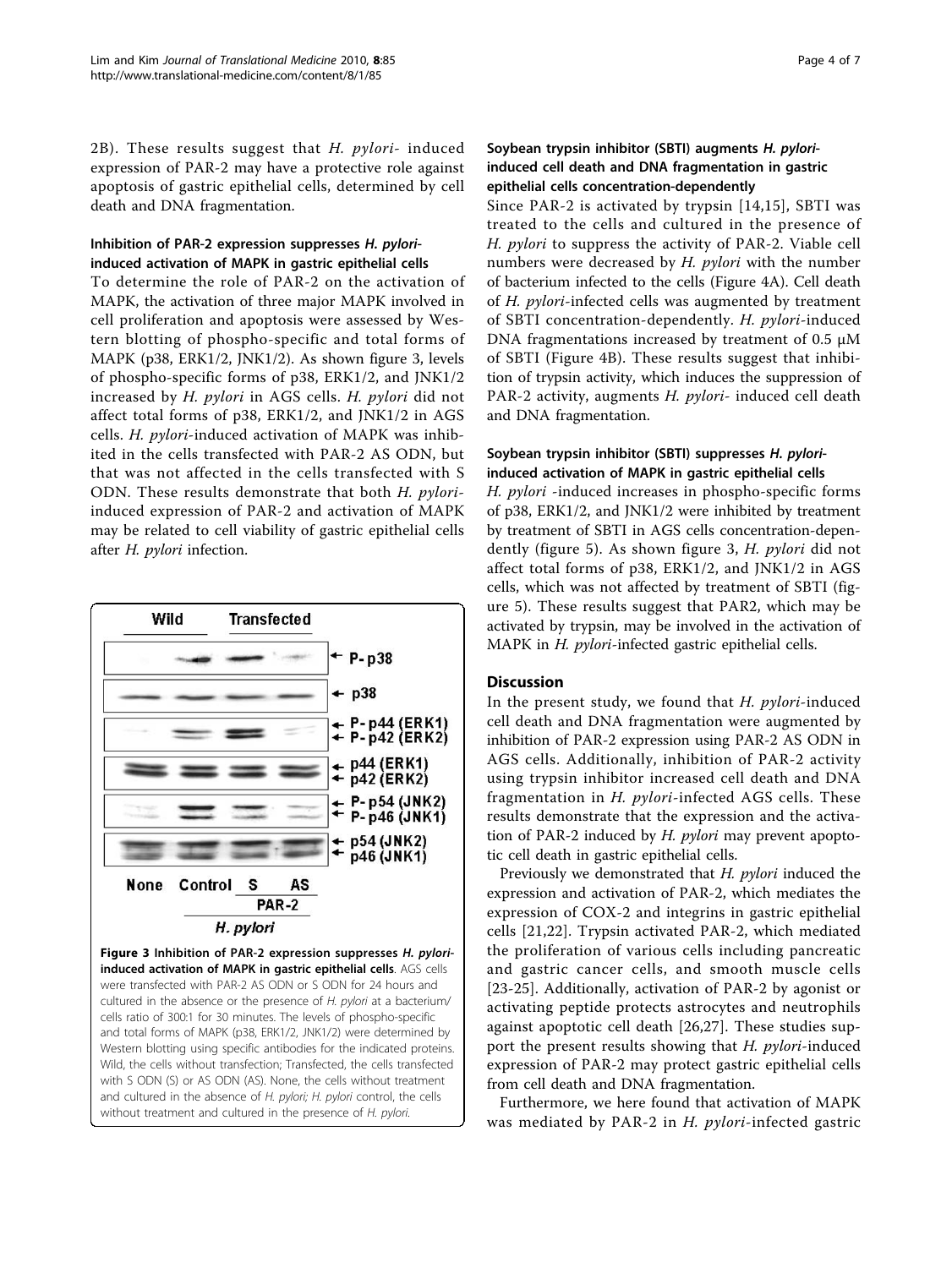[2B](#page-2-0)). These results suggest that  $H.$   $pylori-$  induced expression of PAR-2 may have a protective role against apoptosis of gastric epithelial cells, determined by cell death and DNA fragmentation.

#### Inhibition of PAR-2 expression suppresses H. pyloriinduced activation of MAPK in gastric epithelial cells

To determine the role of PAR-2 on the activation of MAPK, the activation of three major MAPK involved in cell proliferation and apoptosis were assessed by Western blotting of phospho-specific and total forms of MAPK (p38, ERK1/2, JNK1/2). As shown figure 3, levels of phospho-specific forms of p38, ERK1/2, and JNK1/2 increased by H. pylori in AGS cells. H. pylori did not affect total forms of p38, ERK1/2, and JNK1/2 in AGS cells. H. pylori-induced activation of MAPK was inhibited in the cells transfected with PAR-2 AS ODN, but that was not affected in the cells transfected with S ODN. These results demonstrate that both H. pyloriinduced expression of PAR-2 and activation of MAPK may be related to cell viability of gastric epithelial cells after H. pylori infection.



Page 4 of 7

#### Soybean trypsin inhibitor (SBTI) augments H. pyloriinduced cell death and DNA fragmentation in gastric epithelial cells concentration-dependently

Since PAR-2 is activated by trypsin [[14,15\]](#page-5-0), SBTI was treated to the cells and cultured in the presence of H. pylori to suppress the activity of PAR-2. Viable cell numbers were decreased by  $H.$  pylori with the number of bacterium infected to the cells (Figure [4A](#page-4-0)). Cell death of H. pylori-infected cells was augmented by treatment of SBTI concentration-dependently. H. pylori-induced DNA fragmentations increased by treatment of 0.5 μM of SBTI (Figure [4B](#page-4-0)). These results suggest that inhibition of trypsin activity, which induces the suppression of PAR-2 activity, augments H. pylori- induced cell death and DNA fragmentation.

## Soybean trypsin inhibitor (SBTI) suppresses H. pyloriinduced activation of MAPK in gastric epithelial cells

H. pylori -induced increases in phospho-specific forms of p38, ERK1/2, and JNK1/2 were inhibited by treatment by treatment of SBTI in AGS cells concentration-dependently (figure [5\)](#page-4-0). As shown figure 3, H. pylori did not affect total forms of p38, ERK1/2, and JNK1/2 in AGS cells, which was not affected by treatment of SBTI (figure [5](#page-4-0)). These results suggest that PAR2, which may be activated by trypsin, may be involved in the activation of MAPK in *H. pylori-*infected gastric epithelial cells.

## **Discussion**

In the present study, we found that  $H.$   $pylori$ -induced cell death and DNA fragmentation were augmented by inhibition of PAR-2 expression using PAR-2 AS ODN in AGS cells. Additionally, inhibition of PAR-2 activity using trypsin inhibitor increased cell death and DNA fragmentation in  $H.$   $pylori$ -infected AGS cells. These results demonstrate that the expression and the activation of PAR-2 induced by *H. pylori* may prevent apoptotic cell death in gastric epithelial cells.

Previously we demonstrated that H. pylori induced the expression and activation of PAR-2, which mediates the expression of COX-2 and integrins in gastric epithelial cells [[21,22](#page-5-0)]. Trypsin activated PAR-2, which mediated the proliferation of various cells including pancreatic and gastric cancer cells, and smooth muscle cells [[23-25\]](#page-6-0). Additionally, activation of PAR-2 by agonist or activating peptide protects astrocytes and neutrophils against apoptotic cell death [[26,27](#page-6-0)]. These studies support the present results showing that H. pylori-induced expression of PAR-2 may protect gastric epithelial cells from cell death and DNA fragmentation.

Furthermore, we here found that activation of MAPK was mediated by PAR-2 in H. pylori-infected gastric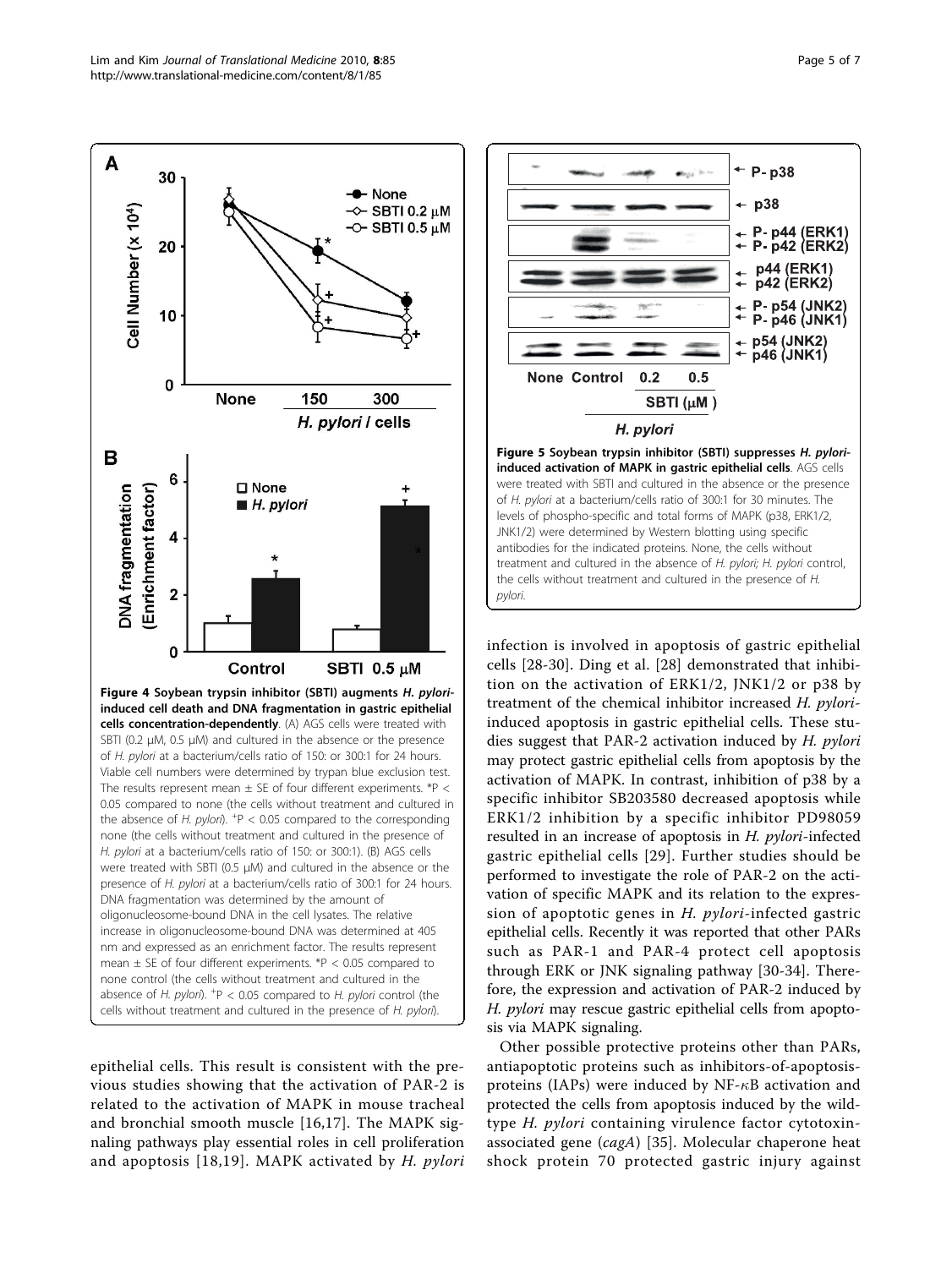<span id="page-4-0"></span>

epithelial cells. This result is consistent with the previous studies showing that the activation of PAR-2 is related to the activation of MAPK in mouse tracheal and bronchial smooth muscle [[16](#page-5-0),[17\]](#page-5-0). The MAPK signaling pathways play essential roles in cell proliferation and apoptosis  $[18,19]$  $[18,19]$  $[18,19]$ . MAPK activated by H. pylori



infection is involved in apoptosis of gastric epithelial cells [[28-30](#page-6-0)]. Ding et al. [\[28](#page-6-0)] demonstrated that inhibition on the activation of ERK1/2, JNK1/2 or p38 by treatment of the chemical inhibitor increased H. pyloriinduced apoptosis in gastric epithelial cells. These studies suggest that PAR-2 activation induced by H. pylori may protect gastric epithelial cells from apoptosis by the activation of MAPK. In contrast, inhibition of p38 by a specific inhibitor SB203580 decreased apoptosis while ERK1/2 inhibition by a specific inhibitor PD98059 resulted in an increase of apoptosis in H. pylori-infected gastric epithelial cells [[29\]](#page-6-0). Further studies should be performed to investigate the role of PAR-2 on the activation of specific MAPK and its relation to the expression of apoptotic genes in H. pylori-infected gastric epithelial cells. Recently it was reported that other PARs such as PAR-1 and PAR-4 protect cell apoptosis through ERK or JNK signaling pathway [[30-34](#page-6-0)]. Therefore, the expression and activation of PAR-2 induced by H. pylori may rescue gastric epithelial cells from apoptosis via MAPK signaling.

Other possible protective proteins other than PARs, antiapoptotic proteins such as inhibitors-of-apoptosisproteins (IAPs) were induced by  $NF - \kappa B$  activation and protected the cells from apoptosis induced by the wildtype H. pylori containing virulence factor cytotoxin-associated gene (cagA) [[35](#page-6-0)]. Molecular chaperone heat shock protein 70 protected gastric injury against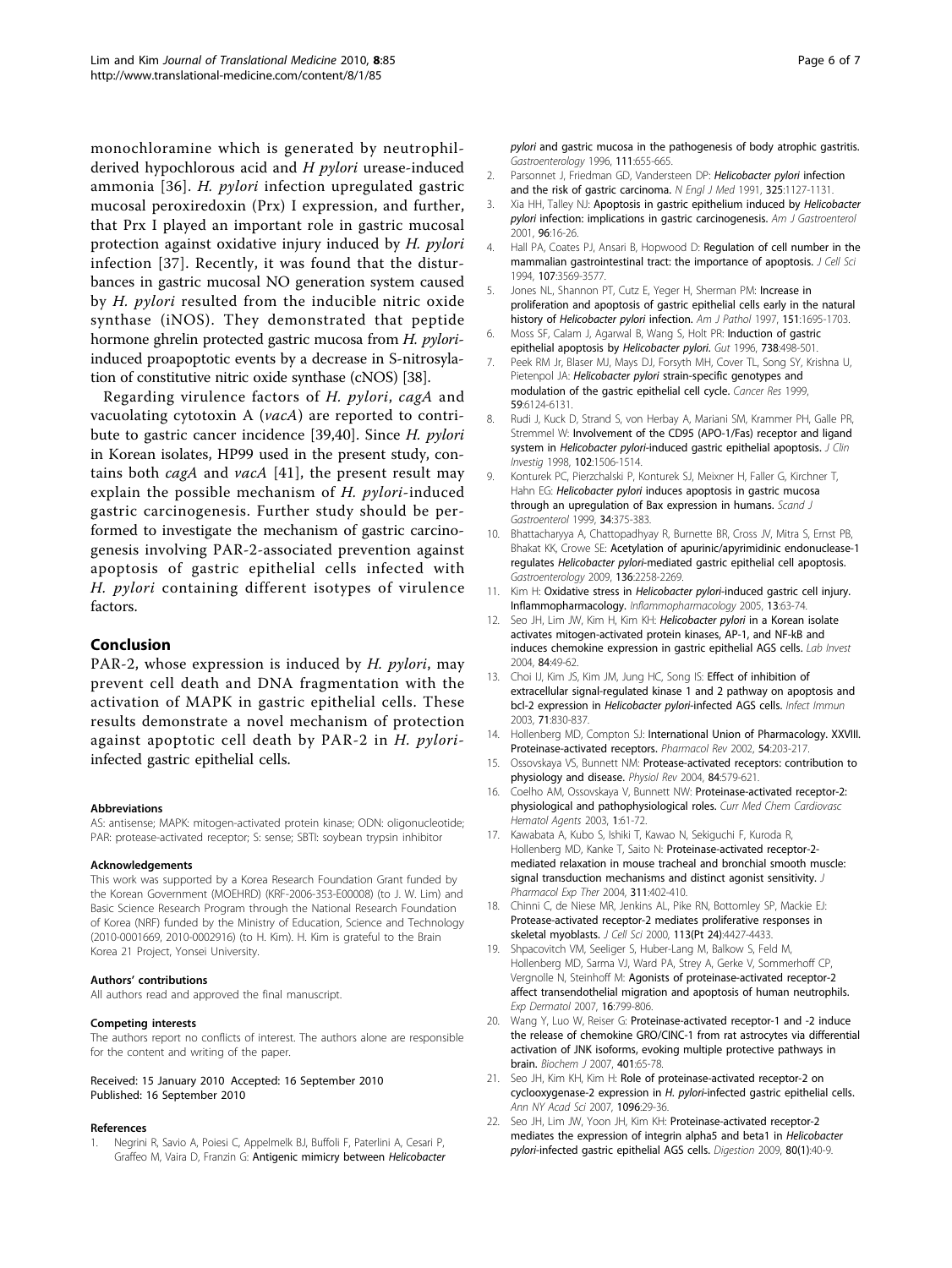<span id="page-5-0"></span>monochloramine which is generated by neutrophilderived hypochlorous acid and  $H$  *pylori* urease-induced ammonia [[36](#page-6-0)]. H. pylori infection upregulated gastric mucosal peroxiredoxin (Prx) I expression, and further, that Prx I played an important role in gastric mucosal protection against oxidative injury induced by H. pylori infection [[37\]](#page-6-0). Recently, it was found that the disturbances in gastric mucosal NO generation system caused by H. pylori resulted from the inducible nitric oxide synthase (iNOS). They demonstrated that peptide hormone ghrelin protected gastric mucosa from H. pyloriinduced proapoptotic events by a decrease in S-nitrosylation of constitutive nitric oxide synthase (cNOS) [[38](#page-6-0)].

Regarding virulence factors of H. pylori, cagA and vacuolating cytotoxin A (vacA) are reported to contribute to gastric cancer incidence [\[39](#page-6-0),[40\]](#page-6-0). Since H. pylori in Korean isolates, HP99 used in the present study, contains both *cagA* and *vacA* [\[41\]](#page-6-0), the present result may explain the possible mechanism of H. *pylori*-induced gastric carcinogenesis. Further study should be performed to investigate the mechanism of gastric carcinogenesis involving PAR-2-associated prevention against apoptosis of gastric epithelial cells infected with H. pylori containing different isotypes of virulence factors.

#### Conclusion

PAR-2, whose expression is induced by H. pylori, may prevent cell death and DNA fragmentation with the activation of MAPK in gastric epithelial cells. These results demonstrate a novel mechanism of protection against apoptotic cell death by PAR-2 in H. pyloriinfected gastric epithelial cells.

#### Abbreviations

AS: antisense; MAPK: mitogen-activated protein kinase; ODN: oligonucleotide; PAR: protease-activated receptor; S: sense; SBTI: soybean trypsin inhibitor

#### Acknowledgements

This work was supported by a Korea Research Foundation Grant funded by the Korean Government (MOEHRD) (KRF-2006-353-E00008) (to J. W. Lim) and Basic Science Research Program through the National Research Foundation of Korea (NRF) funded by the Ministry of Education, Science and Technology (2010-0001669, 2010-0002916) (to H. Kim). H. Kim is grateful to the Brain Korea 21 Project, Yonsei University.

#### Authors' contributions

All authors read and approved the final manuscript.

#### Competing interests

The authors report no conflicts of interest. The authors alone are responsible for the content and writing of the paper.

#### Received: 15 January 2010 Accepted: 16 September 2010 Published: 16 September 2010

#### References

1. Negrini R, Savio A, Poiesi C, Appelmelk BJ, Buffoli F, Paterlini A, Cesari P, Graffeo M, Vaira D, Franzin G: [Antigenic mimicry between](http://www.ncbi.nlm.nih.gov/pubmed/8780570?dopt=Abstract) Helicobacter

- 2. Parsonnet J, Friedman GD, Vandersteen DP: [Helicobacter pylori](http://www.ncbi.nlm.nih.gov/pubmed/1891020?dopt=Abstract) infection [and the risk of gastric carcinoma.](http://www.ncbi.nlm.nih.gov/pubmed/1891020?dopt=Abstract) N Engl J Med 1991, 325:1127-1131.
- 3. Xia HH, Talley NJ: [Apoptosis in gastric epithelium induced by](http://www.ncbi.nlm.nih.gov/pubmed/11197247?dopt=Abstract) Helicobacter pylori [infection: implications in gastric carcinogenesis.](http://www.ncbi.nlm.nih.gov/pubmed/11197247?dopt=Abstract) Am J Gastroenterol 2001, 96:16-26.
- 4. Hall PA, Coates PJ, Ansari B, Hopwood D: [Regulation of cell number in the](http://www.ncbi.nlm.nih.gov/pubmed/7706406?dopt=Abstract) [mammalian gastrointestinal tract: the importance of apoptosis.](http://www.ncbi.nlm.nih.gov/pubmed/7706406?dopt=Abstract) J Cell Sci 1994, 107:3569-3577.
- 5. Jones NL, Shannon PT, Cutz E, Yeger H, Sherman PM: [Increase in](http://www.ncbi.nlm.nih.gov/pubmed/9403720?dopt=Abstract) [proliferation and apoptosis of gastric epithelial cells early in the natural](http://www.ncbi.nlm.nih.gov/pubmed/9403720?dopt=Abstract) history of [Helicobacter pylori](http://www.ncbi.nlm.nih.gov/pubmed/9403720?dopt=Abstract) infection. Am J Pathol 1997, 151:1695-1703.
- 6. Moss SF, Calam J, Agarwal B, Wang S, Holt PR: Induction of gastric epithelial apoptosis by Helicobacter pylori. Gut 1996, 738:498-501.
- 7. Peek RM Jr, Blaser MJ, Mays DJ, Forsyth MH, Cover TL, Song SY, Krishna U, Pietenpol JA: Helicobacter pylori [strain-specific genotypes and](http://www.ncbi.nlm.nih.gov/pubmed/10626802?dopt=Abstract) [modulation of the gastric epithelial cell cycle.](http://www.ncbi.nlm.nih.gov/pubmed/10626802?dopt=Abstract) Cancer Res 1999, 59:6124-6131.
- 8. Rudi J, Kuck D, Strand S, von Herbay A, Mariani SM, Krammer PH, Galle PR, Stremmel W: [Involvement of the CD95 \(APO-1/Fas\) receptor and ligand](http://www.ncbi.nlm.nih.gov/pubmed/9788963?dopt=Abstract) system in Helicobacter pylori[-induced gastric epithelial apoptosis.](http://www.ncbi.nlm.nih.gov/pubmed/9788963?dopt=Abstract) J Clin Investig 1998, 102:1506-1514.
- 9. Konturek PC, Pierzchalski P, Konturek SJ, Meixner H, Faller G, Kirchner T, Hahn EG: Helicobacter pylori [induces apoptosis in gastric mucosa](http://www.ncbi.nlm.nih.gov/pubmed/10365897?dopt=Abstract) [through an upregulation of Bax expression in humans.](http://www.ncbi.nlm.nih.gov/pubmed/10365897?dopt=Abstract) Scand J Gastroenterol 1999, 34:375-383.
- 10. Bhattacharyya A, Chattopadhyay R, Burnette BR, Cross JV, Mitra S, Ernst PB, Bhakat KK, Crowe SE: [Acetylation of apurinic/apyrimidinic endonuclease-1](http://www.ncbi.nlm.nih.gov/pubmed/19505426?dopt=Abstract) regulates Helicobacter pylori[-mediated gastric epithelial cell apoptosis.](http://www.ncbi.nlm.nih.gov/pubmed/19505426?dopt=Abstract) Gastroenterology 2009, 136:2258-2269.
- 11. Kim H: Oxidative stress in Helicobacter pylori[-induced gastric cell injury.](http://www.ncbi.nlm.nih.gov/pubmed/16259728?dopt=Abstract) [Inflammopharmacology.](http://www.ncbi.nlm.nih.gov/pubmed/16259728?dopt=Abstract) Inflammopharmacology 2005, 13:63-74.
- 12. Seo JH, Lim JW, Kim H, Kim KH: Helicobacter pylori [in a Korean isolate](http://www.ncbi.nlm.nih.gov/pubmed/14631383?dopt=Abstract) [activates mitogen-activated protein kinases, AP-1, and NF-kB and](http://www.ncbi.nlm.nih.gov/pubmed/14631383?dopt=Abstract) [induces chemokine expression in gastric epithelial AGS cells.](http://www.ncbi.nlm.nih.gov/pubmed/14631383?dopt=Abstract) Lab Invest 2004, 84:49-62.
- 13. Choi IJ, Kim JS, Kim JM, Jung HC, Song IS: [Effect of inhibition of](http://www.ncbi.nlm.nih.gov/pubmed/12540563?dopt=Abstract) [extracellular signal-regulated kinase 1 and 2 pathway on apoptosis and](http://www.ncbi.nlm.nih.gov/pubmed/12540563?dopt=Abstract) bcl-2 expression in Helicobacter pylori[-infected AGS cells.](http://www.ncbi.nlm.nih.gov/pubmed/12540563?dopt=Abstract) Infect Immun 2003, 71:830-837.
- 14. Hollenberg MD, Compton SJ: [International Union of Pharmacology. XXVIII.](http://www.ncbi.nlm.nih.gov/pubmed/12037136?dopt=Abstract) [Proteinase-activated receptors.](http://www.ncbi.nlm.nih.gov/pubmed/12037136?dopt=Abstract) Pharmacol Rev 2002, 54:203-217.
- 15. Ossovskaya VS, Bunnett NM: [Protease-activated receptors: contribution to](http://www.ncbi.nlm.nih.gov/pubmed/15044683?dopt=Abstract) [physiology and disease.](http://www.ncbi.nlm.nih.gov/pubmed/15044683?dopt=Abstract) Physiol Rev 2004, 84:579-621.
- 16. Coelho AM, Ossovskaya V, Bunnett NW: [Proteinase-activated receptor-2:](http://www.ncbi.nlm.nih.gov/pubmed/15317291?dopt=Abstract) [physiological and pathophysiological roles.](http://www.ncbi.nlm.nih.gov/pubmed/15317291?dopt=Abstract) Curr Med Chem Cardiovasc Hematol Agents 2003, 1:61-72.
- 17. Kawabata A, Kubo S, Ishiki T, Kawao N, Sekiguchi F, Kuroda R, Hollenberg MD, Kanke T, Saito N: [Proteinase-activated receptor-2](http://www.ncbi.nlm.nih.gov/pubmed/15199093?dopt=Abstract) [mediated relaxation in mouse tracheal and bronchial smooth muscle:](http://www.ncbi.nlm.nih.gov/pubmed/15199093?dopt=Abstract) [signal transduction mechanisms and distinct agonist sensitivity.](http://www.ncbi.nlm.nih.gov/pubmed/15199093?dopt=Abstract) J Pharmacol Exp Ther 2004, 311:402-410.
- 18. Chinni C, de Niese MR, Jenkins AL, Pike RN, Bottomley SP, Mackie EJ: [Protease-activated receptor-2 mediates proliferative responses in](http://www.ncbi.nlm.nih.gov/pubmed/11082036?dopt=Abstract) [skeletal myoblasts.](http://www.ncbi.nlm.nih.gov/pubmed/11082036?dopt=Abstract) J Cell Sci 2000, 113(Pt 24):4427-4433.
- 19. Shpacovitch VM, Seeliger S, Huber-Lang M, Balkow S, Feld M, Hollenberg MD, Sarma VJ, Ward PA, Strey A, Gerke V, Sommerhoff CP, Vergnolle N, Steinhoff M: [Agonists of proteinase-activated receptor-2](http://www.ncbi.nlm.nih.gov/pubmed/17845211?dopt=Abstract) [affect transendothelial migration and apoptosis of human neutrophils.](http://www.ncbi.nlm.nih.gov/pubmed/17845211?dopt=Abstract) Exp Dermatol 2007, 16:799-806.
- 20. Wang Y, Luo W, Reiser G: [Proteinase-activated receptor-1 and -2 induce](http://www.ncbi.nlm.nih.gov/pubmed/16942465?dopt=Abstract) [the release of chemokine GRO/CINC-1 from rat astrocytes via differential](http://www.ncbi.nlm.nih.gov/pubmed/16942465?dopt=Abstract) [activation of JNK isoforms, evoking multiple protective pathways in](http://www.ncbi.nlm.nih.gov/pubmed/16942465?dopt=Abstract) [brain.](http://www.ncbi.nlm.nih.gov/pubmed/16942465?dopt=Abstract) Biochem J 2007, 401:65-78.
- 21. Seo JH, Kim KH, Kim H: [Role of proteinase-activated receptor-2 on](http://www.ncbi.nlm.nih.gov/pubmed/17405913?dopt=Abstract) cyclooxygenase-2 expression in H. pylori[-infected gastric epithelial cells.](http://www.ncbi.nlm.nih.gov/pubmed/17405913?dopt=Abstract) Ann NY Acad Sci 2007, 1096:29-36.
- 22. Seo JH, Lim JW, Yoon JH, Kim KH: [Proteinase-activated receptor-2](http://www.ncbi.nlm.nih.gov/pubmed/19478484?dopt=Abstract) [mediates the expression of integrin alpha5 and beta1 in](http://www.ncbi.nlm.nih.gov/pubmed/19478484?dopt=Abstract) Helicobacter pylori[-infected gastric epithelial AGS cells.](http://www.ncbi.nlm.nih.gov/pubmed/19478484?dopt=Abstract) Digestion 2009, 80(1):40-9.